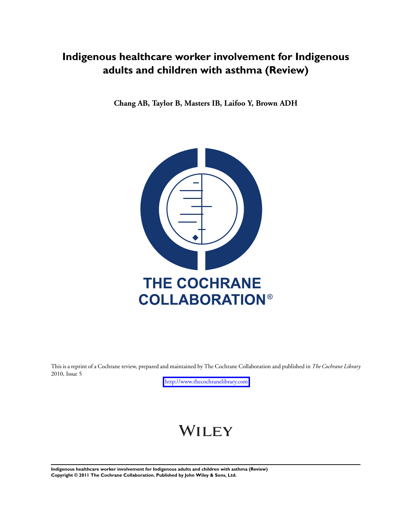# **Indigenous healthcare worker involvement for Indigenous adults and children with asthma (Review)**

**Chang AB, Taylor B, Masters IB, Laifoo Y, Brown ADH**



This is a reprint of a Cochrane review, prepared and maintained by The Cochrane Collaboration and published in *The Cochrane Library* 2010, Issue 5

<http://www.thecochranelibrary.com>

# WILEY

**Indigenous healthcare worker involvement for Indigenous adults and children with asthma (Review) Copyright © 2011 The Cochrane Collaboration. Published by John Wiley & Sons, Ltd.**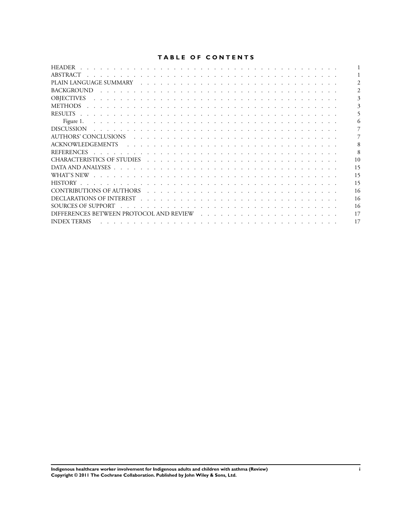# **TABLE OF CONTENTS**

| <b>HEADER</b>                                                                                                                                                                                                                                       |    |
|-----------------------------------------------------------------------------------------------------------------------------------------------------------------------------------------------------------------------------------------------------|----|
| ABSTRACT                                                                                                                                                                                                                                            |    |
|                                                                                                                                                                                                                                                     |    |
| <b>BACKGROUND</b>                                                                                                                                                                                                                                   |    |
| <b>OBIECTIVES</b><br>and a complete the complete state of the complete state of the complete state of the complete state of the complete state of the complete state of the complete state of the complete state of the complete state of the compl |    |
| <b>METHODS</b>                                                                                                                                                                                                                                      |    |
| <b>RESULTS</b><br>a constitution of the constitution of the constitution of the constitution of the constitution of the constitution                                                                                                                |    |
| Figure 1.                                                                                                                                                                                                                                           |    |
| <b>DISCUSSION</b>                                                                                                                                                                                                                                   |    |
| AUTHORS' CONCLUSIONS<br>the contract of the contract of the contract of the contract of the contract of the contract of the contract of                                                                                                             |    |
| ACKNOWLEDGEMENTS<br>the contract of the contract of the contract of the contract of the contract of the contract of the contract of                                                                                                                 |    |
| <b>REFERENCES</b><br>a constitution of the constitution of the constitution of the constitution of the constitution of the constitution of the constitution of the constitution of the constitution of the constitution of the constitution of the  |    |
|                                                                                                                                                                                                                                                     | 10 |
|                                                                                                                                                                                                                                                     | 15 |
|                                                                                                                                                                                                                                                     | 15 |
| HISTORY.                                                                                                                                                                                                                                            | 15 |
|                                                                                                                                                                                                                                                     | 16 |
|                                                                                                                                                                                                                                                     | 16 |
| SOURCES OF SUPPORT<br>a constitution of the constitution of the constitution of the constitution of the constitution of the constitution of the constitution of the constitution of the constitution of the constitution of the constitution of the | 16 |
|                                                                                                                                                                                                                                                     | 17 |
| <b>INDEX TERMS</b><br>والمتواط والمتواط والمتواط والمتواط والمتواط والمتواط والمتواط والمتواط والمتواط والمتواط والمتواط والمتواط                                                                                                                   | 17 |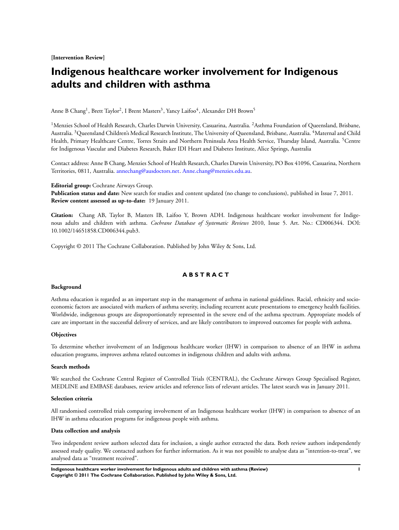**[Intervention Review]**

# **Indigenous healthcare worker involvement for Indigenous adults and children with asthma**

Anne B Chang<sup>1</sup>, Brett Taylor<sup>2</sup>, I Brent Masters<sup>3</sup>, Yancy Laifoo<sup>4</sup>, Alexander DH Brown<sup>5</sup>

<sup>1</sup> Menzies School of Health Research, Charles Darwin University, Casuarina, Australia. <sup>2</sup>Asthma Foundation of Queensland, Brisbane, Australia. <sup>3</sup>Queensland Children's Medical Research Institute, The University of Queensland, Brisbane, Australia. <sup>4</sup>Maternal and Child Health, Primary Healthcare Centre, Torres Straits and Northern Peninsula Area Health Service, Thursday Island, Australia. <sup>5</sup>Centre for Indigenous Vascular and Diabetes Research, Baker IDI Heart and Diabetes Institute, Alice Springs, Australia

Contact address: Anne B Chang, Menzies School of Health Research, Charles Darwin University, PO Box 41096, Casuarina, Northern Territories, 0811, Australia. [annechang@ausdoctors.net](mailto:annechang@ausdoctors.net). [Anne.chang@menzies.edu.au.](mailto:Anne.chang@menzies.edu.au)

**Editorial group:** Cochrane Airways Group.

**Publication status and date:** New search for studies and content updated (no change to conclusions), published in Issue 7, 2011. **Review content assessed as up-to-date:** 19 January 2011.

**Citation:** Chang AB, Taylor B, Masters IB, Laifoo Y, Brown ADH. Indigenous healthcare worker involvement for Indigenous adults and children with asthma. *Cochrane Database of Systematic Reviews* 2010, Issue 5. Art. No.: CD006344. DOI: 10.1002/14651858.CD006344.pub3.

Copyright © 2011 The Cochrane Collaboration. Published by John Wiley & Sons, Ltd.

# **A B S T R A C T**

#### **Background**

Asthma education is regarded as an important step in the management of asthma in national guidelines. Racial, ethnicity and socioeconomic factors are associated with markers of asthma severity, including recurrent acute presentations to emergency health facilities. Worldwide, indigenous groups are disproportionately represented in the severe end of the asthma spectrum. Appropriate models of care are important in the successful delivery of services, and are likely contributors to improved outcomes for people with asthma.

#### **Objectives**

To determine whether involvement of an Indigenous healthcare worker (IHW) in comparison to absence of an IHW in asthma education programs, improves asthma related outcomes in indigenous children and adults with asthma.

#### **Search methods**

We searched the Cochrane Central Register of Controlled Trials (CENTRAL), the Cochrane Airways Group Specialised Register, MEDLINE and EMBASE databases, review articles and reference lists of relevant articles. The latest search was in January 2011.

#### **Selection criteria**

All randomised controlled trials comparing involvement of an Indigenous healthcare worker (IHW) in comparison to absence of an IHW in asthma education programs for indigenous people with asthma.

#### **Data collection and analysis**

Two independent review authors selected data for inclusion, a single author extracted the data. Both review authors independently assessed study quality. We contacted authors for further information. As it was not possible to analyse data as "intention-to-treat", we analysed data as "treatment received".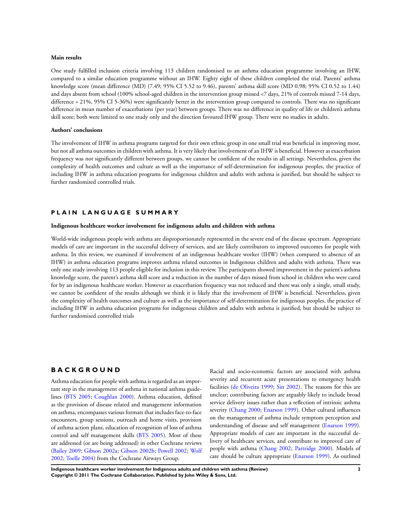#### **Main results**

One study fulfilled inclusion criteria involving 113 children randomised to an asthma education programme involving an IHW, compared to a similar education programme without an IHW. Eighty eight of these children completed the trial. Parents' asthma knowledge score (mean difference (MD) (7.49; 95% CI 5.52 to 9.46), parents' asthma skill score (MD 0.98; 95% CI 0.52 to 1.44) and days absent from school (100% school-aged children in the intervention group missed <7 days, 21% of controls missed 7-14 days, difference = 21%, 95% CI 5-36%) were significantly better in the intervention group compared to controls. There was no significant difference in mean number of exacerbations (per year) between groups. There was no difference in quality of life or children's asthma skill score; both were limited to one study only and the direction favoured IHW group. There were no studies in adults.

### **Authors' conclusions**

The involvement of IHW in asthma programs targeted for their own ethnic group in one small trial was beneficial in improving most, but not all asthma outcomes in children with asthma. It is very likely that involvement of an IHW is beneficial. However as exacerbation frequency was not significantly different between groups, we cannot be confident of the results in all settings. Nevertheless, given the complexity of health outcomes and culture as well as the importance of self-determination for indigenous peoples, the practice of including IHW in asthma education programs for indigenous children and adults with asthma is justified, but should be subject to further randomised controlled trials.

# **P L A I N L A N G U A G E S U M M A R Y**

#### **Indigenous healthcare worker involvement for indigenous adults and children with asthma**

World-wide indigenous people with asthma are disproportionately represented in the severe end of the disease spectrum. Appropriate models of care are important in the successful delivery of services, and are likely contributors to improved outcomes for people with asthma. In this review, we examined if involvement of an indigenous healthcare worker (IHW) (when compared to absence of an IHW) in asthma education programs improves asthma related outcomes in Indigenous children and adults with asthma. There was only one study involving 113 people eligible for inclusion in this review. The participants showed improvement in the patient's asthma knowledge score, the parent's asthma skill score and a reduction in the number of days missed from school in children who were cared for by an indigenous healthcare worker. However as exacerbation frequency was not reduced and there was only a single, small study, we cannot be confident of the results although we think it is likely that the involvement of IHW is beneficial. Nevertheless, given the complexity of health outcomes and culture as well as the importance of self-determination for indigenous peoples, the practice of including IHW in asthma education programs for indigenous children and adults with asthma is justified, but should be subject to further randomised controlled trials

# **B A C K G R O U N D**

Asthma education for people with asthma is regarded as an important step in the management of asthma in national asthma guidelines [\(BTS 2005](#page-9-0); [Coughlan 2000\)](#page-9-0). Asthma education, defined as the provision of disease related and management information on asthma, encompasses various formats that includes face-to-face encounters, group sessions, outreach and home visits, provision of asthma action plans, education of recognition of loss of asthma control and self management skills ([BTS 2005\)](#page-9-0). Most of these are addressed (or are being addressed) in other Cochrane reviews [\(Bailey 2009;](#page-9-0) [Gibson 2002a](#page-9-0); [Gibson 2002b;](#page-9-0) [Powell 2002](#page-9-0); [Wolf](#page-9-0) [2002](#page-9-0); [Toelle 2004\)](#page-9-0) from the Cochrane Airways Group.

Racial and socio-economic factors are associated with asthma severity and recurrent acute presentations to emergency health facilities [\(de Oliveira 1999;](#page-9-0) [Sin 2002\)](#page-9-0). The reasons for this are unclear; contributing factors are arguably likely to include broad service delivery issues rather than a reflection of intrinsic asthma severity ([Chang 2000;](#page-9-0) [Enarson 1999\)](#page-9-0). Other cultural influences on the management of asthma include symptom perception and understanding of disease and self management [\(Enarson 1999](#page-9-0)). Appropriate models of care are important in the successful delivery of healthcare services, and contribute to improved care of people with asthma ([Chang 2002;](#page-9-0) [Partridge 2000](#page-9-0)). Models of care should be culture appropriate [\(Enarson 1999](#page-9-0)). As outlined

**Indigenous healthcare worker involvement for Indigenous adults and children with asthma (Review) 2 Copyright © 2011 The Cochrane Collaboration. Published by John Wiley & Sons, Ltd.**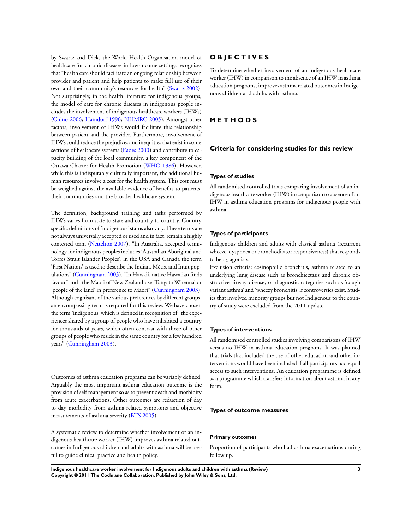by Swartz and Dick, the World Health Organisation model of healthcare for chronic diseases in low-income settings recognises that "health care should facilitate an ongoing relationship between provider and patient and help patients to make full use of their own and their community's resources for health" [\(Swartz 2002](#page-9-0)). Not surprisingly, in the health literature for indigenous groups, the model of care for chronic diseases in indigenous people includes the involvement of indigenous healthcare workers (IHWs) [\(Chino 2006](#page-9-0); [Hamdorf 1996;](#page-9-0) [NHMRC 2005\)](#page-9-0). Amongst other factors, involvement of IHWs would facilitate this relationship between patient and the provider. Furthermore, involvement of IHWs could reduce the prejudices and inequities that exist in some sections of healthcare systems [\(Eades 2000](#page-9-0)) and contribute to capacity building of the local community, a key component of the Ottawa Charter for Health Promotion ([WHO 1986\)](#page-9-0). However, while this is indisputably culturally important, the additional human resources involve a cost for the health system. This cost must be weighed against the available evidence of benefits to patients, their communities and the broader healthcare system.

The definition, background training and tasks performed by IHWs varies from state to state and country to country. Country specific definitions of 'indigenous' status also vary. These terms are not always universally accepted or used and in fact, remain a highly contested term [\(Nettelton 2007\)](#page-9-0). "In Australia, accepted terminology for indigenous peoples includes 'Australian Aboriginal and Torres Strait Islander Peoples', in the USA and Canada the term 'First Nations' is used to describe the Indian, Métis, and Inuit populations" ([Cunningham 2003\)](#page-9-0). "In Hawaii, native Hawaiian finds favour" and "the Maori of New Zealand use 'Tangata Whenua' or 'people of the land' in preference to Maori" ([Cunningham 2003](#page-9-0)). Although cognisant of the various preferences by different groups, an encompassing term is required for this review. We have chosen the term 'indigenous' which is defined in recognition of "the experiences shared by a group of people who have inhabited a country for thousands of years, which often contrast with those of other groups of people who reside in the same country for a few hundred years" ([Cunningham 2003](#page-9-0)).

Outcomes of asthma education programs can be variably defined. Arguably the most important asthma education outcome is the provision of self management so as to prevent death and morbidity from acute exacerbations. Other outcomes are reduction of day to day morbidity from asthma-related symptoms and objective measurements of asthma severity ([BTS 2005\)](#page-9-0).

A systematic review to determine whether involvement of an indigenous healthcare worker (IHW) improves asthma related outcomes in Indigenous children and adults with asthma will be useful to guide clinical practice and health policy.

# **O B J E C T I V E S**

To determine whether involvement of an indigenous healthcare worker (IHW) in comparison to the absence of an IHW in asthma education programs, improves asthma related outcomes in Indigenous children and adults with asthma.

# **M E T H O D S**

#### **Criteria for considering studies for this review**

# **Types of studies**

All randomised controlled trials comparing involvement of an indigenous healthcare worker (IHW) in comparison to absence of an IHW in asthma education programs for indigenous people with asthma.

# **Types of participants**

Indigenous children and adults with classical asthma (recurrent wheeze, dyspnoea or bronchodilator responsiveness) that responds to beta<sub>2</sub> agonists.

Exclusion criteria: eosinophilic bronchitis, asthma related to an underlying lung disease such as bronchiectasis and chronic obstructive airway disease, or diagnostic categories such as 'cough variant asthma' and 'wheezy bronchitis' if controversies exist. Studies that involved minority groups but not Indigenous to the country of study were excluded from the 2011 update.

#### **Types of interventions**

All randomised controlled studies involving comparisons of IHW versus no IHW in asthma education programs. It was planned that trials that included the use of other education and other interventions would have been included if all participants had equal access to such interventions. An education programme is defined as a programme which transfers information about asthma in any form.

#### **Types of outcome measures**

### **Primary outcomes**

Proportion of participants who had asthma exacerbations during follow up.

**Indigenous healthcare worker involvement for Indigenous adults and children with asthma (Review) 3 Copyright © 2011 The Cochrane Collaboration. Published by John Wiley & Sons, Ltd.**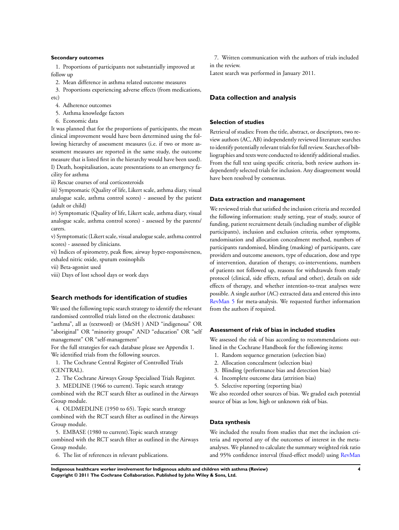#### **Secondary outcomes**

1. Proportions of participants not substantially improved at follow up

- 2. Mean difference in asthma related outcome measures
- 3. Proportions experiencing adverse effects (from medications, etc)
- 4. Adherence outcomes
- 5. Asthma knowledge factors
- 6. Economic data

It was planned that for the proportions of participants, the mean clinical improvement would have been determined using the following hierarchy of assessment measures (i.e. if two or more assessment measures are reported in the same study, the outcome measure that is listed first in the hierarchy would have been used). I) Death, hospitalisation, acute presentations to an emergency facility for asthma

ii) Rescue courses of oral corticosteroids

iii) Symptomatic (Quality of life, Likert scale, asthma diary, visual analogue scale, asthma control scores) - assessed by the patient (adult or child)

iv) Symptomatic (Quality of life, Likert scale, asthma diary, visual analogue scale, asthma control scores) - assessed by the parents/ carers.

v) Symptomatic (Likert scale, visual analogue scale, asthma control scores) - assessed by clinicians.

vi) Indices of spirometry, peak flow, airway hyper-responsiveness, exhaled nitric oxide, sputum eosinophils

vii) Beta-agonist used

viii) Days of lost school days or work days

# **Search methods for identification of studies**

We used the following topic search strategy to identify the relevant randomised controlled trials listed on the electronic databases: "asthma", all as (textword) or (MeSH ) AND "indigenous" OR "aboriginal" OR "minority groups" AND "education" OR "self management" OR "self-management"

For the full strategies for each database please see Appendix 1. We identified trials from the following sources.

1. The Cochrane Central Register of Controlled Trials (CENTRAL).

2. The Cochrane Airways Group Specialised Trials Register.

3. MEDLINE (1966 to current). Topic search strategy combined with the RCT search filter as outlined in the Airways

Group module. 4. OLDMEDLINE (1950 to 65). Topic search strategy combined with the RCT search filter as outlined in the Airways Group module.

5. EMBASE (1980 to current).Topic search strategy combined with the RCT search filter as outlined in the Airways Group module.

6. The list of references in relevant publications.

7. Written communication with the authors of trials included in the review.

Latest search was performed in January 2011.

# **Data collection and analysis**

#### **Selection of studies**

Retrieval of studies: From the title, abstract, or descriptors, two review authors (AC, AB) independently reviewed literature searches to identify potentially relevant trials for full review. Searches of bibliographies and texts were conducted to identify additional studies. From the full text using specific criteria, both review authors independently selected trials for inclusion. Any disagreement would have been resolved by consensus.

#### **Data extraction and management**

We reviewed trials that satisfied the inclusion criteria and recorded the following information: study setting, year of study, source of funding, patient recruitment details (including number of eligible participants), inclusion and exclusion criteria, other symptoms, randomisation and allocation concealment method, numbers of participants randomised, blinding (masking) of participants, care providers and outcome assessors, type of education, dose and type of intervention, duration of therapy, co-interventions, numbers of patients not followed up, reasons for withdrawals from study protocol (clinical, side effects, refusal and other), details on side effects of therapy, and whether intention-to-treat analyses were possible. A single author (AC) extracted data and entered this into [RevMan 5](#page-9-0) for meta-analysis. We requested further information from the authors if required.

#### **Assessment of risk of bias in included studies**

We assessed the risk of bias according to recommendations outlined in the Cochrane Handbook for the following items:

- 1. Random sequence generation (selection bias)
- 2. Allocation concealment (selection bias)
- 3. Blinding (performance bias and detection bias)
- 4. Incomplete outcome data (attrition bias)
- 5. Selective reporting (reporting bias)

We also recorded other sources of bias. We graded each potential source of bias as low, high or unknown risk of bias.

# **Data synthesis**

We included the results from studies that met the inclusion criteria and reported any of the outcomes of interest in the metaanalyses. We planned to calculate the summary weighted risk ratio and 95% confidence interval (fixed-effect model) using [RevMan](#page-9-0)

**Indigenous healthcare worker involvement for Indigenous adults and children with asthma (Review) 4 Copyright © 2011 The Cochrane Collaboration. Published by John Wiley & Sons, Ltd.**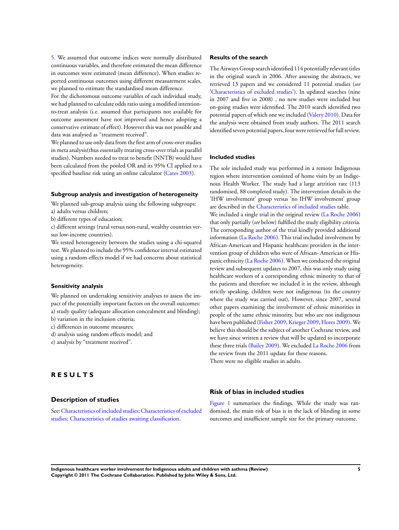[5.](#page-9-0) We assumed that outcome indices were normally distributed continuous variables, and therefore estimated the mean difference in outcomes were estimated (mean difference). When studies reported continuous outcomes using different measurement scales, we planned to estimate the standardised mean difference.

For the dichotomous outcome variables of each individual study, we had planned to calculate odds ratio using a modified intentionto-treat analysis (i.e. assumed that participants not available for outcome assessment have not improved and hence adopting a conservative estimate of effect). However this was not possible and data was analysed as "treatment received".

We planned to use only data from the first arm of cross-over studies in meta analysis(thus essentially treating cross-over trials as parallel studies). Numbers needed to treat to benefit (NNTB) would have been calculated from the pooled OR and its 95% CI applied to a specified baseline risk using an online calculator [\(Cates 2003](#page-9-0)).

#### **Subgroup analysis and investigation of heterogeneity**

We planned sub-group analysis using the following subgroups:

- a) adults versus children;
- b) different types of education;

c) different settings (rural versus non-rural, wealthy countries versus low-income countries).

We tested heterogeneity between the studies using a chi-squared test. We planned to include the 95% confidence interval estimated using a random-effects model if we had concerns about statistical heterogeneity.

#### **Sensitivity analysis**

We planned on undertaking sensitivity analyses to assess the impact of the potentially important factors on the overall outcomes: a) study quality (adequate allocation concealment and blinding); b) variation in the inclusion criteria;

- c) differences in outcome measures;
- d) analysis using random effects model; and
- e) analysis by "treatment received".

# **R E S U L T S**

### **Description of studies**

See:[Characteristics of included studies;](#page-12-0)[Characteristics of excluded](#page-14-0) [studies;](#page-14-0) [Characteristics of studies awaiting classification.](#page-15-0)

### **Results of the search**

The Airways Group search identified 114 potentially relevant titles in the original search in 2006. After assessing the abstracts, we retrieved 13 papers and we considered 11 potential studies (*see* ['Characteristics of excluded studies'](#page-14-0)). In updated searches (nine in 2007 and five in 2008) , no new studies were included but on-going studies were identified. The 2010 search identified two potential papers of which one we included [\(Valery 2010\)](#page-9-0). Data for the analysis were obtained from study authors. The 2011 search identified seven potential papers, four were retrieved for full review.

# **Included studies**

The sole included study was performed in a remote Indigenous region where intervention consisted of home visits by an Indigenous Health Worker. The study had a large attrition rate (113 randomised, 88 completed study). The intervention details in the 'IHW involvement' group versus 'no IHW involvement' group are described in the [Characteristics of included studies](#page-12-0) table.

We included a single trial in the original review [\(La Roche 2006](#page-9-0)) that only partially (*see* below) fulfilled the study eligibility criteria. The corresponding author of the trial kindly provided additional information ([La Roche 2006](#page-9-0)). This trial included involvement by African-American and Hispanic healthcare providers in the intervention group of children who were of African- American or Hispanic ethnicity ([La Roche 2006](#page-9-0)). When we conducted the original review and subsequent updates to 2007, this was only study using healthcare workers of a corresponding ethnic minority to that of the patients and therefore we included it in the review, although strictly speaking, children were not indigenous (to the country where the study was carried out), However, since 2007, several other papers examining the involvement of ethnic minorities in people of the same ethnic minority, but who are not indigenous have been published ([Fisher 2009](#page-9-0), [Krieger 2009](#page-9-0), [Flores 2009\)](#page-9-0). We believe this should be the subject of another Cochrane review, and we have since written a review that will be updated to incorporate these three trials [\(Bailey 2009](#page-9-0)). We excluded [La Roche 2006](#page-9-0) from the review from the 2011 update for these reasons. There were no eligible studies in adults.

# **Risk of bias in included studies**

[Figure 1](#page-7-0) summarises the findings. While the study was randomised, the main risk of bias is in the lack of blinding in some outcomes and insufficient sample size for the primary outcome.

**Indigenous healthcare worker involvement for Indigenous adults and children with asthma (Review) 5 Copyright © 2011 The Cochrane Collaboration. Published by John Wiley & Sons, Ltd.**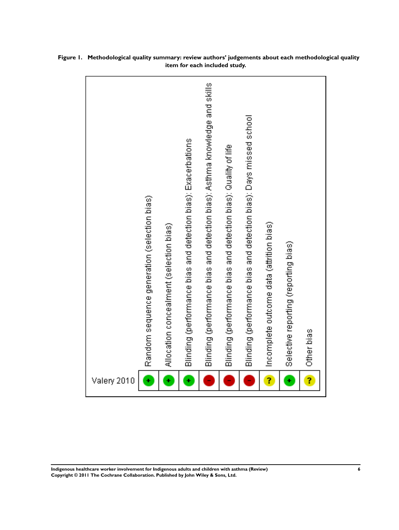<span id="page-7-0"></span>**Figure 1. Methodological quality summary: review authors' judgements about each methodological quality item for each included study.**

**Indigenous healthcare worker involvement for Indigenous adults and children with asthma (Review) 6 Copyright © 2011 The Cochrane Collaboration. Published by John Wiley & Sons, Ltd.**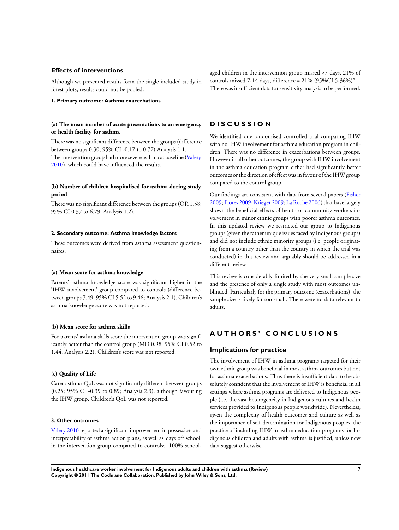## **Effects of interventions**

Although we presented results form the single included study in forest plots, results could not be pooled.

#### **1. Primary outcome: Asthma exacerbations**

# **(a) The mean number of acute presentations to an emergency or health facility for asthma**

There was no significant difference between the groups (difference between groups 0.30; 95% CI -0.17 to 0.77) Analysis 1.1. The intervention group had more severe asthma at baseline ([Valery](#page-9-0) [2010](#page-9-0)), which could have influenced the results.

# **(b) Number of children hospitalised for asthma during study period**

There was no significant difference between the groups (OR 1.58; 95% CI 0.37 to 6.79; Analysis 1.2).

# **2. Secondary outcome: Asthma knowledge factors**

These outcomes were derived from asthma assessment questionnaires.

#### **(a) Mean score for asthma knowledge**

Parents' asthma knowledge score was significant higher in the 'IHW involvement' group compared to controls (difference between groups 7.49; 95% CI 5.52 to 9.46; Analysis 2.1). Children's asthma knowledge score was not reported.

#### **(b) Mean score for asthma skills**

For parents' asthma skills score the intervention group was significantly better than the control group (MD 0.98; 95% CI 0.52 to 1.44; Analysis 2.2). Children's score was not reported.

#### **(c) Quality of Life**

Carer asthma-QoL was not significantly different between groups (0.25; 95% CI -0.39 to 0.89; Analysis 2.3), although favouring the IHW group. Children's QoL was not reported.

### **3. Other outcomes**

[Valery 2010](#page-9-0) reported a significant improvement in possession and interpretability of asthma action plans, as well as 'days off school' in the intervention group compared to controls; "100% schoolaged children in the intervention group missed <7 days, 21% of controls missed 7-14 days, difference = 21% (95%CI 5-36%)". There was insufficient data for sensitivity analysis to be performed.

# **D I S C U S S I O N**

We identified one randomised controlled trial comparing IHW with no IHW involvement for asthma education program in children. There was no difference in exacerbations between groups. However in all other outcomes, the group with IHW involvement in the asthma education program either had significantly better outcomes or the direction of effect was in favour of the IHW group compared to the control group.

Our findings are consistent with data from several papers [\(Fisher](#page-9-0) [2009](#page-9-0); [Flores 2009](#page-9-0);[Krieger 2009;](#page-9-0) [La Roche 2006\)](#page-9-0) that have largely shown the beneficial effects of health or community workers involvement in minor ethnic groups with poorer asthma outcomes. In this updated review we restricted our group to Indigenous groups (given the rather unique issues faced by Indigenous groups) and did not include ethnic minority groups (i.e. people originating from a country other than the country in which the trial was conducted) in this review and arguably should be addressed in a different review.

This review is considerably limited by the very small sample size and the presence of only a single study with most outcomes unblinded. Particularly for the primary outcome (exacerbations), the sample size is likely far too small. There were no data relevant to adults.

# **A U T H O R S ' C O N C L U S I O N S**

### **Implications for practice**

The involvement of IHW in asthma programs targeted for their own ethnic group was beneficial in most asthma outcomes but not for asthma exacerbations. Thus there is insufficient data to be absolutely confident that the involvement of IHW is beneficial in all settings where asthma programs are delivered to Indigenous people (i.e. the vast heterogeneity in Indigenous cultures and health services provided to Indigenous people worldwide). Nevertheless, given the complexity of health outcomes and culture as well as the importance of self-determination for Indigenous peoples, the practice of including IHW in asthma education programs for Indigenous children and adults with asthma is justified, unless new data suggest otherwise.

**Indigenous healthcare worker involvement for Indigenous adults and children with asthma (Review) 7 Copyright © 2011 The Cochrane Collaboration. Published by John Wiley & Sons, Ltd.**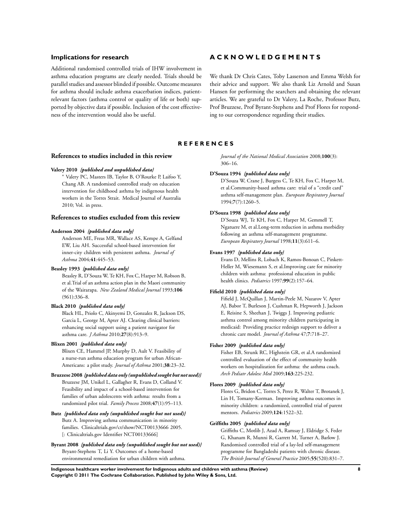### <span id="page-9-0"></span>**Implications for research**

Additional randomised controlled trials of IHW involvement in asthma education programs are clearly needed. Trials should be parallel studies and assessor blinded if possible. Outcome measures for asthma should include asthma exacerbation indices, patientrelevant factors (asthma control or quality of life or both) supported by objective data if possible. Inclusion of the cost effectiveness of the intervention would also be useful.

# **A C K N O W L E D G E M E N T S**

We thank Dr Chris Cates, Toby Lasserson and Emma Welsh for their advice and support. We also thank Liz Arnold and Susan Hansen for performing the searchers and obtaining the relevant articles. We are grateful to Dr Valery, La Roche, Professor Butz, Prof Bruzzese, Prof Byrant-Stephens and Prof Flores for responding to our correspondence regarding their studies.

# **R E F E R E N C E S**

#### **References to studies included in this review**

#### **Valery 2010** *{published and unpublished data}*

<sup>∗</sup> Valery PC, Masters IB, Taylor B, O'Rourke P, Laifoo Y, Chang AB. A randomised controlled study on education intervention for childhood asthma by indigenous health workers in the Torres Strait. Medical Journal of Australia 2010; Vol. in press.

### **References to studies excluded from this review**

#### **Anderson 2004** *{published data only}*

Anderson ME, Freas MR, Wallace AS, Kempe A, Gelfand EW, Liu AH. Successful school-based intervention for inner-city children with persistent asthma. *Journal of Asthma* 2004;**41**:445–53.

### **Beasley 1993** *{published data only}*

Beasley R, D'Souza W, Te KH, Fox C, Harper M, Robson B, et al.Trial of an asthma action plan in the Maori community of the Wairarapa. *New Zealand Medical Journal* 1993;**106** (961):336–8.

# **Black 2010** *{published data only}*

Black HL, Priolo C, Akinyemi D, Gonzalez R, Jackson DS, Garcia L, George M, Apter AJ. Clearing clinical barriers: enhancing social support using a patient navigator for asthma care. *J Asthma* 2010;**27**(8):913–9.

#### **Blixen 2001** *{published data only}*

Blixen CE, Hammel JP, Murphy D, Ault V. Feasibility of a nurse-run asthma education program for urban African-Americans: a pilot study. *Journal of Asthma* 2001;**38**:23–32.

#### **Bruzzese 2008** *{published data only (unpublished sought but not used)}*

Bruzzese JM, Unikel L, Gallagher R, Evans D, Colland V. Feasibility and impact of a school-based intervention for families of urban adolescents with asthma: results from a randomized pilot trial. *Family Process* 2008;**47**(1):95–113.

### **Butz** *{published data only (unpublished sought but not used)}* Butz A. Improving asthma communication in minority families. Clinicaltrials.gov/ct/show/NCT00133666 2005. [: Clinicaltrials.gov Identifier NCT00133666]

**Byrant 2008** *{published data only (unpublished sought but not used)}* Bryant-Stephens T, Li Y. Outcomes of a home-based environmental remediation for urban children with asthma.

*Journal of the National Medical Association* 2008;**100**(3): 306–16.

#### **D'Souza 1994** *{published data only}*

D'Souza W, Crane J, Burgess C, Te KH, Fox C, Harper M, et al.Community-based asthma care: trial of a "credit card" asthma self-management plan. *European Respiratory Journal* 1994;**7**(7):1260–5.

### **D'Souza 1998** *{published data only}*

D'Souza WJ, Te KH, Fox C, Harper M, Gemmell T, Ngatuere M, et al.Long-term reduction in asthma morbidity following an asthma self-management programme. *European Respiratory Journal* 1998;**11**(3):611–6.

#### **Evans 1997** *{published data only}*

Evans D, Mellins R, Lobach K, Ramos-Bonoan C, Pinkett-Heller M, Wiesemann S, et al.Improving care for minority children with asthma: professional education in public health clinics. *Pediatrics* 1997;**99**(2):157–64.

### **Fifield 2010** *{published data only}*

Fifield J, McQuillan J, Martin-Peele M, Nazarov V, Apter AJ, Babor T, Burleson J, Cushman R, Hepworth J, Jackson E, Reisine S, Sheehan J, Twiggs J. Improving pediatric asthma control among minority children participating in medicaid: Providing practice redesign support to deliver a chronic care model. *Journal of Asthma* 47;**7**:718–27.

#### **Fisher 2009** *{published data only}*

Fisher EB, Strunk RC, Highstein GR, et al.A randomized controlled evaluation of the effect of community health workers on hospitalization for asthma: the asthma coach. *Arch Pediatr Adolesc Med* 2009;**163**:225-232.

#### **Flores 2009** *{published data only}*

Flores G, Bridon C, Torres S, Perez R, Walter T, Brotanek J, Lin H, Tomany-Korman. Improving asthma outcomes in minority children: a randomized, controlled trial of parent mentors. *Pediatrics* 2009;**124**:1522–32.

### **Griffiths 2005** *{published data only}*

Griffiths C, Motlib J, Azad A, Ramsay J, Eldridge S, Feder G, Khanam R, Munni R, Garrett M, Turner A, Barlow J. Randomised controlled trial of a lay-led self-management programme for Bangladeshi patients with chronic disease. *The British Journal of General Practice* 2005;**55**(520):831–7.

**Indigenous healthcare worker involvement for Indigenous adults and children with asthma (Review) 8 Copyright © 2011 The Cochrane Collaboration. Published by John Wiley & Sons, Ltd.**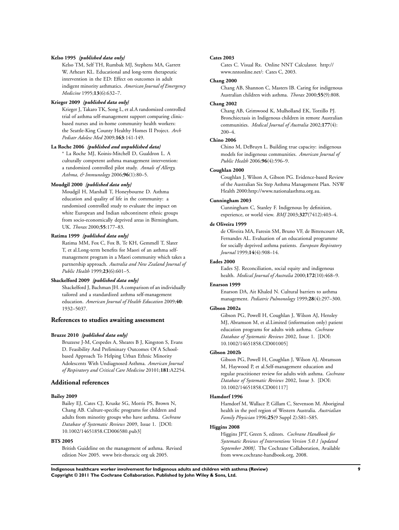#### **Kelso 1995** *{published data only}*

Kelso TM, Self TH, Rumbak MJ, Stephens MA, Garrett W, Arheart KL. Educational and long-term therapeutic intervention in the ED: Effect on outcomes in adult indigent minority asthmatics. *American Journal of Emergency Medicine* 1995;**13**(6):632–7.

#### **Krieger 2009** *{published data only}*

Krieger J, Takaro TK, Song L, et al.A randomized controlled trial of asthma self-management support comparing clinicbased nurses and in-home community health workers: the Seattle-King County Healthy Homes II Project. *Arch Pediatr Adolesc Med* 2009;**163**:141-149.

#### **La Roche 2006** *{published and unpublished data}*

<sup>∗</sup> La Roche MJ, Koinis-Mitchell D, Gualdron L. A culturally competent asthma management intervention: a randomized controlled pilot study. *Annals of Allergy, Asthma, & Immunology* 2006;**96**(1):80–5.

# **Moudgil 2000** *{published data only}*

Moudgil H, Marshall T, Honeybourne D. Asthma education and quality of life in the community: a randomised controlled study to evaluate the impact on white European and Indian subcontinent ethnic groups from socio-economically deprived areas in Birmingham, UK. *Thorax* 2000;**55**:177–83.

#### **Ratima 1999** *{published data only}*

Ratima MM, Fox C, Fox B, Te KH, Gemmell T, Slater T, et al.Long-term benefits for Maori of an asthma selfmanagement program in a Maori community which takes a partnership approach. *Australia and New Zealand Journal of Public Health* 1999;**23**(6):601–5.

### **Shackelford 2009** *{published data only}*

Shackelford J, Bachman JH. A comparison of an individually tailored and a standardized asthma self-management education. *American Journal of Health Education* 2009;**40**: 1932–5037.

#### **References to studies awaiting assessment**

#### **Bruzze 2010** *{published data only}*

Bruzzese J-M, Cespedes A, Sheares B J, Kingston S, Evans D. Feasibility And Preliminary Outcomes Of A Schoolbased Approach To Helping Urban Ethnic Minority Adolescents With Undiagnosed Asthma. *American Journal of Respiratory and Critical Care Medicine* 20101;**181**:A2254.

### **Additional references**

#### **Bailey 2009**

Bailey EJ, Cates CJ, Kruske SG, Morris PS, Brown N, Chang AB. Culture-specific programs for children and adults from minority groups who have asthma. *Cochrane Database of Systematic Reviews* 2009, Issue 1. [DOI: 10.1002/14651858.CD006580.pub3]

#### **BTS 2005**

British Guideline on the management of asthma. Revised edition Nov 2005. www brit-thoracic org uk 2005.

#### **Cates 2003**

Cates C. Visual Rx. Online NNT Calculator. http:// www.nntonline.net/: Cates C, 2003.

# **Chang 2000**

Chang AB, Shannon C, Masters IB. Caring for indigenous Australian children with asthma. *Thorax* 2000;**55**(9):808.

### **Chang 2002**

Chang AB, Grimwood K, Mulholland EK, Torzillo PJ. Bronchiectasis in Indigenous children in remote Australian communities. *Medical Journal of Australia* 2002;**177**(4): 200–4.

#### **Chino 2006**

Chino M, DeBruyn L. Building true capacity: indigenous models for indigenous communities. *American Journal of Public Health* 2006;**96**(4):596–9.

### **Coughlan 2000**

Coughlan J, Wilson A, Gibson PG. Evidence-based Review of the Australian Six Step Asthma Management Plan. NSW Health 2000:http://www.nationalasthma.org.au.

#### **Cunningham 2003**

Cunningham C, Stanley F. Indigenous by definition, experience, or world view. *BMJ* 2003;**327**(7412):403–4.

#### **de Oliveira 1999**

de Oliveira MA, Faresin SM, Bruno VF, de Bittencourt AR, Fernandes AL. Evaluation of an educational programme for socially deprived asthma patients. *European Respiratory Journal* 1999;**14**(4):908–14.

#### **Eades 2000**

Eades SJ. Reconciliation, social equity and indigenous health. *Medical Journal of Australia* 2000;**172**(10):468–9.

#### **Enarson 1999**

Enarson DA, Ait Khaled N. Cultural barriers to asthma management. *Pediatric Pulmonology* 1999;**28**(4):297–300.

#### **Gibson 2002a**

Gibson PG, Powell H, Coughlan J, Wilson AJ, Hensley MJ, Abramson M, et al.Limited (information only) patient education programs for adults with asthma. *Cochrane Database of Systematic Reviews* 2002, Issue 1. [DOI: 10.1002/14651858.CD001005]

## **Gibson 2002b**

Gibson PG, Powell H, Coughlan J, Wilson AJ, Abramson M, Haywood P, et al.Self-management education and regular practitioner review for adults with asthma. *Cochrane Database of Systematic Reviews* 2002, Issue 3. [DOI: 10.1002/14651858.CD001117]

#### **Hamdorf 1996**

Hamdorf M, Wallace P, Gillam C, Stevenson M. Aboriginal health in the peel region of Western Australia. *Austrialian Family Physician* 1996;**25**(9 Suppl 2):S81–S85.

# **Higgins 2008**

Higgins JPT, Green S, editors. *Cochrane Handbook for Systematic Reviews of Interventions Version 5.0.1 [updated September 2008]*. The Cochrane Collaboration, Available from www.cochrane-handbook.org, 2008.

**Indigenous healthcare worker involvement for Indigenous adults and children with asthma (Review) 9 Copyright © 2011 The Cochrane Collaboration. Published by John Wiley & Sons, Ltd.**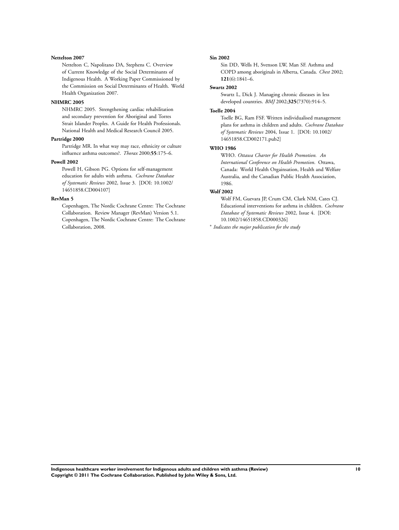#### **Nettelton 2007**

Nettelton C, Napolitano DA, Stephens C. Overview of Current Knowledge of the Social Determinants of Indigenous Health. A Working Paper Commissioned by the Commission on Social Determinants of Health. World Health Organization 2007.

## **NHMRC 2005**

NHMRC 2005. Strengthening cardiac rehabilitation and secondary prevention for Aboriginal and Torres Strait Islander Peoples. A Guide for Health Professionals. National Health and Medical Research Council 2005.

# **Partridge 2000**

Partridge MR. In what way may race, ethnicity or culture influence asthma outcomes?. *Thorax* 2000;**55**:175–6.

# **Powell 2002**

Powell H, Gibson PG. Options for self-management education for adults with asthma. *Cochrane Database of Systematic Reviews* 2002, Issue 3. [DOI: 10.1002/ 14651858.CD004107]

#### **RevMan 5**

Copenhagen, The Nordic Cochrane Centre: The Cochrane Collaboration. Review Manager (RevMan) Version 5.1. Copenhagen, The Nordic Cochrane Centre: The Cochrane Collaboration, 2008.

#### **Sin 2002**

Sin DD, Wells H, Svenson LW, Man SF. Asthma and COPD among aboriginals in Alberta, Canada. *Chest* 2002; **121**(6):1841–6.

# **Swartz 2002**

Swartz L, Dick J. Managing chronic diseases in less developed countries. *BMJ* 2002;**325**(7370):914–5.

#### **Toelle 2004**

Toelle BG, Ram FSF. Written individualised management plans for asthma in children and adults. *Cochrane Database of Systematic Reviews* 2004, Issue 1. [DOI: 10.1002/ 14651858.CD002171.pub2]

#### **WHO 1986**

WHO. *Ottawa Charter for Health Promotion. An International Conference on Health Promotion*. Ottawa, Canada: World Health Orgainsation, Health and Welfare Australia, and the Canadian Public Health Association, 1986.

### **Wolf 2002**

Wolf FM, Guevara JP, Crum CM, Clark NM, Cates CJ. Educational interventions for asthma in children. *Cochrane Database of Systematic Reviews* 2002, Issue 4. [DOI: 10.1002/14651858.CD000326]

∗ *Indicates the major publication for the study*

**Indigenous healthcare worker involvement for Indigenous adults and children with asthma (Review) 10 Copyright © 2011 The Cochrane Collaboration. Published by John Wiley & Sons, Ltd.**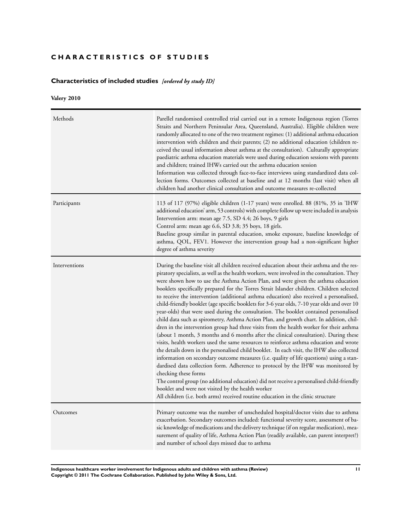# <span id="page-12-0"></span>**CHARACTERISTICS OF STUDIES**

# **Characteristics of included studies** *[ordered by study ID]*

# **Valery 2010**

| Straits and Northern Peninsular Area, Queensland, Australia). Eligible children were<br>randomly allocated to one of the two treatment regimes: (1) additional asthma education<br>intervention with children and their parents; (2) no additional education (children re-<br>ceived the usual information about asthma at the consultation). Culturally appropriate<br>paediatric asthma education materials were used during education sessions with parents<br>and children; trained IHWs carried out the asthma education session<br>Information was collected through face-to-face interviews using standardized data col-<br>lection forms. Outcomes collected at baseline and at 12 months (last visit) when all<br>children had another clinical consultation and outcome measures re-collected                                                                                                                                                                                                                                                                                                                                                                                                                                                                                                                                                                                                                                                                                                                                                                           |
|-----------------------------------------------------------------------------------------------------------------------------------------------------------------------------------------------------------------------------------------------------------------------------------------------------------------------------------------------------------------------------------------------------------------------------------------------------------------------------------------------------------------------------------------------------------------------------------------------------------------------------------------------------------------------------------------------------------------------------------------------------------------------------------------------------------------------------------------------------------------------------------------------------------------------------------------------------------------------------------------------------------------------------------------------------------------------------------------------------------------------------------------------------------------------------------------------------------------------------------------------------------------------------------------------------------------------------------------------------------------------------------------------------------------------------------------------------------------------------------------------------------------------------------------------------------------------------------|
| 113 of 117 (97%) eligible children (1-17 years) were enrolled. 88 (81%, 35 in 'IHW<br>additional education' arm, 53 controls) with complete follow up were included in analysis<br>Intervention arm: mean age 7.5, SD 4.4; 26 boys, 9 girls<br>Control arm: mean age 6.6, SD 3.8; 35 boys, 18 girls.<br>Baseline group similar in parental education, smoke exposure, baseline knowledge of<br>asthma, QOL, FEV1. However the intervention group had a non-significant higher<br>degree of asthma severity                                                                                                                                                                                                                                                                                                                                                                                                                                                                                                                                                                                                                                                                                                                                                                                                                                                                                                                                                                                                                                                                        |
| During the baseline visit all children received education about their asthma and the res-<br>piratory specialists, as well as the health workers, were involved in the consultation. They<br>were shown how to use the Asthma Action Plan, and were given the asthma education<br>booklets specifically prepared for the Torres Strait Islander children. Children selected<br>to receive the intervention (additional asthma education) also received a personalised,<br>child-friendly booklet (age specific booklets for 3-6 year olds, 7-10 year olds and over 10<br>year-olds) that were used during the consultation. The booklet contained personalised<br>child data such as spirometry, Asthma Action Plan, and growth chart. In addition, chil-<br>dren in the intervention group had three visits from the health worker for their asthma<br>(about 1 month, 3 months and 6 months after the clinical consultation). During these<br>visits, health workers used the same resources to reinforce asthma education and wrote<br>the details down in the personalised child booklet. In each visit, the IHW also collected<br>information on secondary outcome measures (i.e. quality of life questions) using a stan-<br>dardised data collection form. Adherence to protocol by the IHW was monitored by<br>checking these forms<br>The control group (no additional education) did not receive a personalised child-friendly<br>booklet and were not visited by the health worker<br>All children (i.e. both arms) received routine education in the clinic structure |
| Primary outcome was the number of unscheduled hospital/doctor visits due to asthma<br>exacerbation. Secondary outcomes included: functional severity score, assessment of ba-<br>sic knowledge of medications and the delivery technique (if on regular medication), mea-<br>surement of quality of life, Asthma Action Plan (readily available, can parent interpret?)<br>and number of school days missed due to asthma                                                                                                                                                                                                                                                                                                                                                                                                                                                                                                                                                                                                                                                                                                                                                                                                                                                                                                                                                                                                                                                                                                                                                         |
|                                                                                                                                                                                                                                                                                                                                                                                                                                                                                                                                                                                                                                                                                                                                                                                                                                                                                                                                                                                                                                                                                                                                                                                                                                                                                                                                                                                                                                                                                                                                                                                   |

**Indigenous healthcare worker involvement for Indigenous adults and children with asthma (Review) 11 Copyright © 2011 The Cochrane Collaboration. Published by John Wiley & Sons, Ltd.**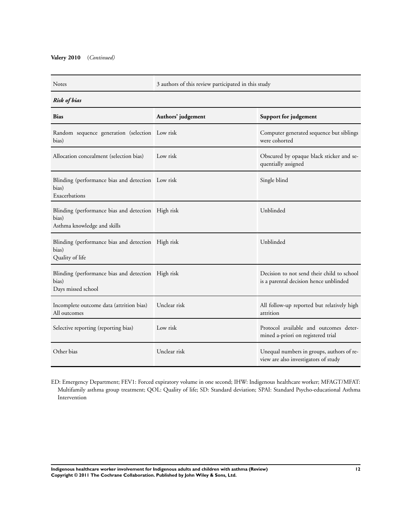Notes 3 authors of this review participated in this study

*Risk of bias*

| <b>Bias</b>                                                                                | Authors' judgement | Support for judgement                                                                |
|--------------------------------------------------------------------------------------------|--------------------|--------------------------------------------------------------------------------------|
| Random sequence generation (selection Low risk<br>bias)                                    |                    | Computer generated sequence but siblings<br>were cohorted                            |
| Allocation concealment (selection bias)                                                    | Low risk           | Obscured by opaque black sticker and se-<br>quentially assigned                      |
| Blinding (performance bias and detection Low risk<br>bias)<br>Exacerbations                |                    | Single blind                                                                         |
| Blinding (performance bias and detection High risk<br>bias)<br>Asthma knowledge and skills |                    | Unblinded                                                                            |
| Blinding (performance bias and detection High risk<br>bias)<br>Quality of life             |                    | Unblinded                                                                            |
| Blinding (performance bias and detection High risk<br>bias)<br>Days missed school          |                    | Decision to not send their child to school<br>is a parental decision hence unblinded |
| Incomplete outcome data (attrition bias)<br>All outcomes                                   | Unclear risk       | All follow-up reported but relatively high<br>attrition                              |
| Selective reporting (reporting bias)                                                       | Low risk           | Protocol available and outcomes deter-<br>mined a-priori on registered trial         |
| Other bias                                                                                 | Unclear risk       | Unequal numbers in groups, authors of re-<br>view are also investigators of study    |

ED: Emergency Department; FEV1: Forced expiratory volume in one second; IHW: Indigenous healthcare worker; MFAGT/MFAT: Multifamily asthma group treatment; QOL: Quality of life; SD: Standard deviation; SPAI: Standard Psycho-educational Asthma Intervention

**Indigenous healthcare worker involvement for Indigenous adults and children with asthma (Review) 12 Copyright © 2011 The Cochrane Collaboration. Published by John Wiley & Sons, Ltd.**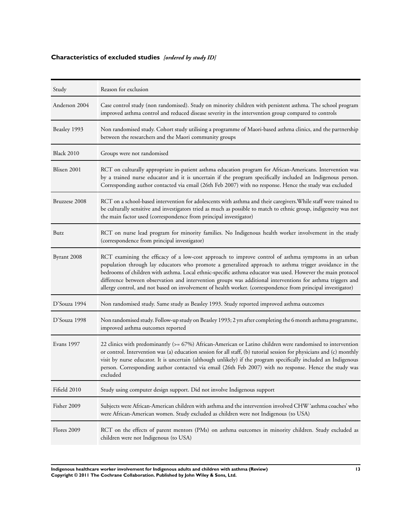# <span id="page-14-0"></span>**Characteristics of excluded studies** *[ordered by study ID]*

| Study             | Reason for exclusion                                                                                                                                                                                                                                                                                                                                                                                                                                                                                                                                        |
|-------------------|-------------------------------------------------------------------------------------------------------------------------------------------------------------------------------------------------------------------------------------------------------------------------------------------------------------------------------------------------------------------------------------------------------------------------------------------------------------------------------------------------------------------------------------------------------------|
| Anderson 2004     | Case control study (non randomised). Study on minority children with persistent asthma. The school program<br>improved asthma control and reduced disease severity in the intervention group compared to controls                                                                                                                                                                                                                                                                                                                                           |
| Beasley 1993      | Non randomised study. Cohort study utilising a programme of Maori-based asthma clinics, and the partnership<br>between the researchers and the Maori community groups                                                                                                                                                                                                                                                                                                                                                                                       |
| <b>Black 2010</b> | Groups were not randomised                                                                                                                                                                                                                                                                                                                                                                                                                                                                                                                                  |
| Blixen 2001       | RCT on culturally appropriate in-patient asthma education program for African-Americans. Intervention was<br>by a trained nurse educator and it is uncertain if the program specifically included an Indigenous person.<br>Corresponding author contacted via email (26th Feb 2007) with no response. Hence the study was excluded                                                                                                                                                                                                                          |
| Bruzzese 2008     | RCT on a school-based intervention for adolescents with asthma and their caregivers. While staff were trained to<br>be culturally sensitive and investigators tried as much as possible to match to ethnic group, indigeneity was not<br>the main factor used (correspondence from principal investigator)                                                                                                                                                                                                                                                  |
| Butz              | RCT on nurse lead program for minority families. No Indigenous health worker involvement in the study<br>(correspondence from principal investigator)                                                                                                                                                                                                                                                                                                                                                                                                       |
| Byrant 2008       | RCT examining the efficacy of a low-cost approach to improve control of asthma symptoms in an urban<br>population through lay educators who promote a generalized approach to asthma trigger avoidance in the<br>bedrooms of children with asthma. Local ethnic-specific asthma educator was used. However the main protocol<br>difference between observation and intervention groups was additional interventions for asthma triggers and<br>allergy control, and not based on involvement of health worker. (correspondence from principal investigator) |
| D'Souza 1994      | Non randomised study. Same study as Beasley 1993. Study reported improved asthma outcomes                                                                                                                                                                                                                                                                                                                                                                                                                                                                   |
| D'Souza 1998      | Non randomised study. Follow-up study on Beasley 1993; 2 yrs after completing the 6 month asthma programme,<br>improved asthma outcomes reported                                                                                                                                                                                                                                                                                                                                                                                                            |
| Evans 1997        | 22 clinics with predominantly (>= 67%) African-American or Latino children were randomised to intervention<br>or control. Intervention was (a) education session for all staff, (b) tutorial session for physicians and (c) monthly<br>visit by nurse educator. It is uncertain (although unlikely) if the program specifically included an Indigenous<br>person. Corresponding author contacted via email (26th Feb 2007) with no response. Hence the study was<br>excluded                                                                                |
| Fifield 2010      | Study using computer design support. Did not involve Indigenous support                                                                                                                                                                                                                                                                                                                                                                                                                                                                                     |
| Fisher 2009       | Subjects were African-American children with asthma and the intervention involved CHW 'asthma coaches' who<br>were African-American women. Study excluded as children were not Indigenous (to USA)                                                                                                                                                                                                                                                                                                                                                          |
| Flores 2009       | RCT on the effects of parent mentors (PMs) on asthma outcomes in minority children. Study excluded as<br>children were not Indigenous (to USA)                                                                                                                                                                                                                                                                                                                                                                                                              |

**Indigenous healthcare worker involvement for Indigenous adults and children with asthma (Review) 13 Copyright © 2011 The Cochrane Collaboration. Published by John Wiley & Sons, Ltd.**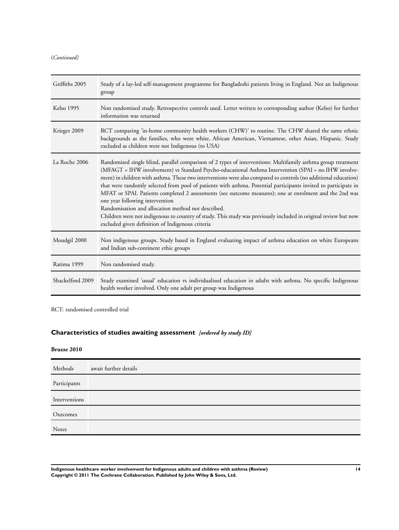<span id="page-15-0"></span>(*Continued)*

| Griffiths 2005   | Study of a lay-led self-management programme for Bangladeshi patients living in England. Not an Indigenous<br>group                                                                                                                                                                                                                                                                                                                                                                                                                                                                                                                                                                                                                                                                                                                   |
|------------------|---------------------------------------------------------------------------------------------------------------------------------------------------------------------------------------------------------------------------------------------------------------------------------------------------------------------------------------------------------------------------------------------------------------------------------------------------------------------------------------------------------------------------------------------------------------------------------------------------------------------------------------------------------------------------------------------------------------------------------------------------------------------------------------------------------------------------------------|
| Kelso 1995       | Non randomised study. Retrospective controls used. Letter written to corresponding author (Kelso) for further<br>information was returned                                                                                                                                                                                                                                                                                                                                                                                                                                                                                                                                                                                                                                                                                             |
| Krieger 2009     | RCT comparing 'in-home community health workers (CHW)' to routine. The CHW shared the same ethnic<br>backgrounds as the families, who were white, African American, Vietnamese, other Asian, Hispanic. Study<br>excluded as children were not Indigenous (to USA)                                                                                                                                                                                                                                                                                                                                                                                                                                                                                                                                                                     |
| La Roche 2006    | Randomised single blind, parallel comparison of 2 types of interventions: Multifamily asthma group treatment<br>(MFAGT = IHW involvement) vs Standard Psycho-educational Asthma Intervention (SPAI = no IHW involve-<br>ment) in children with asthma. These two interventions were also compared to controls (no additional education)<br>that were randomly selected from pool of patients with asthma. Potential participants invited to participate in<br>MFAT or SPAI. Patients completed 2 assessments (see outcome measures); one at enrolment and the 2nd was<br>one year following intervention<br>Randomisation and allocation method not described.<br>Children were not indigenous to country of study. This study was previously included in original review but now<br>excluded given definition of Indigenous criteria |
| Moudgil 2000     | Non indigenous groups. Study based in England evaluating impact of asthma education on white Europeans<br>and Indian sub-continent ethic groups                                                                                                                                                                                                                                                                                                                                                                                                                                                                                                                                                                                                                                                                                       |
| Ratima 1999      | Non randomised study.                                                                                                                                                                                                                                                                                                                                                                                                                                                                                                                                                                                                                                                                                                                                                                                                                 |
| Shackelford 2009 | Study examined 'usual' education vs individualised education in adults with asthma. No specific Indigenous<br>health worker involved. Only one adult per group was Indigenous                                                                                                                                                                                                                                                                                                                                                                                                                                                                                                                                                                                                                                                         |

RCT: randomised controlled trial

# **Characteristics of studies awaiting assessment** *[ordered by study ID]*

# **Bruzze 2010**

| Methods       | await further details |
|---------------|-----------------------|
| Participants  |                       |
| Interventions |                       |
| Outcomes      |                       |
| Notes         |                       |

**Indigenous healthcare worker involvement for Indigenous adults and children with asthma (Review) 14 Copyright © 2011 The Cochrane Collaboration. Published by John Wiley & Sons, Ltd.**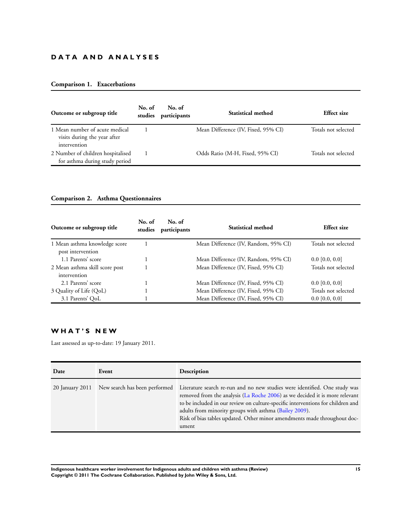# **D A T A A N D A N A L Y S E S**

# **Comparison 1. Exacerbations**

| Outcome or subgroup title                                                      | No. of<br>studies | No. of<br>participants | Statistical method                  | <b>Effect size</b>  |
|--------------------------------------------------------------------------------|-------------------|------------------------|-------------------------------------|---------------------|
| 1 Mean number of acute medical<br>visits during the year after<br>intervention |                   |                        | Mean Difference (IV, Fixed, 95% CI) | Totals not selected |
| 2 Number of children hospitalised<br>for asthma during study period            |                   |                        | Odds Ratio (M-H, Fixed, 95% CI)     | Totals not selected |

# **Comparison 2. Asthma Questionnaires**

| Outcome or subgroup title                          | No. of<br>studies | No. of<br>participants | Statistical method                   | <b>Effect size</b>  |
|----------------------------------------------------|-------------------|------------------------|--------------------------------------|---------------------|
| 1 Mean asthma knowledge score<br>post intervention |                   |                        | Mean Difference (IV, Random, 95% CI) | Totals not selected |
| 1.1 Parents' score                                 |                   |                        | Mean Difference (IV, Random, 95% CI) | $0.0$ [0.0, 0.0]    |
| 2 Mean asthma skill score post<br>intervention     |                   |                        | Mean Difference (IV, Fixed, 95% CI)  | Totals not selected |
| 2.1 Parents' score                                 |                   |                        | Mean Difference (IV, Fixed, 95% CI)  | $0.0$ [0.0, 0.0]    |
| 3 Quality of Life (QoL)                            |                   |                        | Mean Difference (IV, Fixed, 95% CI)  | Totals not selected |
| 3.1 Parents' QoL                                   |                   |                        | Mean Difference (IV, Fixed, 95% CI)  | $0.0$ [0.0, 0.0]    |

# **W H A T ' S N E W**

Last assessed as up-to-date: 19 January 2011.

| Date            | Event                         | <b>Description</b>                                                                                                                                                                                                                                                                                                                                                                          |
|-----------------|-------------------------------|---------------------------------------------------------------------------------------------------------------------------------------------------------------------------------------------------------------------------------------------------------------------------------------------------------------------------------------------------------------------------------------------|
| 20 January 2011 | New search has been performed | Literature search re-run and no new studies were identified. One study was<br>removed from the analysis (La Roche 2006) as we decided it is more relevant<br>to be included in our review on culture-specific interventions for children and<br>adults from minority groups with asthma (Bailey 2009).<br>Risk of bias tables updated. Other minor amendments made throughout doc-<br>ument |

**Indigenous healthcare worker involvement for Indigenous adults and children with asthma (Review) 15 Copyright © 2011 The Cochrane Collaboration. Published by John Wiley & Sons, Ltd.**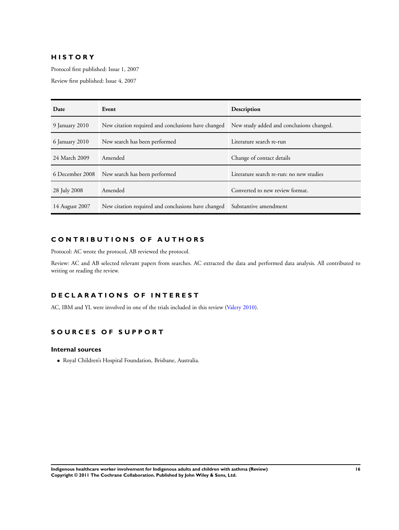# **H I S T O R Y**

Protocol first published: Issue 1, 2007

Review first published: Issue 4, 2007

| Date            | Event                                                                                       | Description                              |  |
|-----------------|---------------------------------------------------------------------------------------------|------------------------------------------|--|
| 9 January 2010  | New citation required and conclusions have changed New study added and conclusions changed. |                                          |  |
| 6 January 2010  | New search has been performed                                                               | Literature search re-run                 |  |
| 24 March 2009   | Amended                                                                                     | Change of contact details                |  |
| 6 December 2008 | New search has been performed                                                               | Literature search re-run: no new studies |  |
| 28 July 2008    | Amended                                                                                     | Converted to new review format.          |  |
| 14 August 2007  | New citation required and conclusions have changed                                          | Substantive amendment                    |  |

# **C O N T R I B U T I O N S O F A U T H O R S**

Protocol: AC wrote the protocol, AB reviewed the protocol.

Review: AC and AB selected relevant papers from searches. AC extracted the data and performed data analysis. All contributed to writing or reading the review.

# **D E C L A R A T I O N S O F I N T E R E S T**

AC, IBM and YL were involved in one of the trials included in this review ([Valery 2010\)](#page-9-0).

# **S O U R C E S O F S U P P O R T**

# **Internal sources**

• Royal Children's Hospital Foundation, Brisbane, Australia.